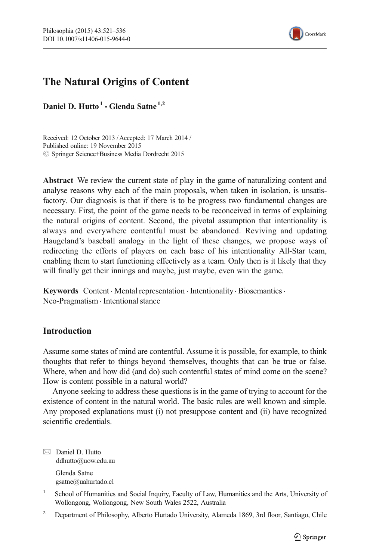

# The Natural Origins of Content

Daniel D. Hutto<sup>1</sup> · Glenda Satne<sup>1,2</sup>

Received: 12 October 2013 /Accepted: 17 March 2014 / Published online: 19 November 2015  $\oslash$  Springer Science+Business Media Dordrecht 2015

Abstract We review the current state of play in the game of naturalizing content and analyse reasons why each of the main proposals, when taken in isolation, is unsatisfactory. Our diagnosis is that if there is to be progress two fundamental changes are necessary. First, the point of the game needs to be reconceived in terms of explaining the natural origins of content. Second, the pivotal assumption that intentionality is always and everywhere contentful must be abandoned. Reviving and updating Haugeland's baseball analogy in the light of these changes, we propose ways of redirecting the efforts of players on each base of his intentionality All-Star team, enabling them to start functioning effectively as a team. Only then is it likely that they will finally get their innings and maybe, just maybe, even win the game.

Keywords Content · Mental representation · Intentionality · Biosemantics · Neo-Pragmatism . Intentional stance

# **Introduction**

Assume some states of mind are contentful. Assume it is possible, for example, to think thoughts that refer to things beyond themselves, thoughts that can be true or false. Where, when and how did (and do) such contentful states of mind come on the scene? How is content possible in a natural world?

Anyone seeking to address these questions is in the game of trying to account for the existence of content in the natural world. The basic rules are well known and simple. Any proposed explanations must (i) not presuppose content and (ii) have recognized scientific credentials.

 $\boxtimes$  Daniel D. Hutto ddhutto@uow.edu.au Glenda Satne gsatne@uahurtado.cl

<sup>1</sup> School of Humanities and Social Inquiry, Faculty of Law, Humanities and the Arts, University of Wollongong, Wollongong, New South Wales 2522, Australia

<sup>&</sup>lt;sup>2</sup> Department of Philosophy, Alberto Hurtado University, Alameda 1869, 3rd floor, Santiago, Chile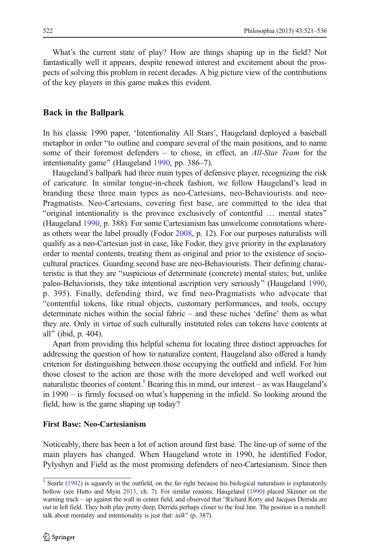What's the current state of play? How are things shaping up in the field? Not fantastically well it appears, despite renewed interest and excitement about the prospects of solving this problem in recent decades. A big picture view of the contributions of the key players in this game makes this evident.

### Back in the Ballpark

In his classic 1990 paper, 'Intentionality All Stars', Haugeland deployed a baseball metaphor in order "to outline and compare several of the main positions, and to name some of their foremost defenders – to chose, in effect, an *All-Star Team* for the intentionality game" (Haugeland [1990,](#page-14-0) pp. 386–7).

Haugeland's ballpark had three main types of defensive player, recognizing the risk of caricature. In similar tongue-in-cheek fashion, we follow Haugeland's lead in branding these three main types as neo-Cartesians, neo-Behaviourists and neo-Pragmatists. Neo-Cartesians, covering first base, are committed to the idea that "original intentionality is the province exclusively of contentful ... mental states" (Haugeland [1990](#page-14-0), p. 388). For some Cartesianism has unwelcome connotations whereas others wear the label proudly (Fodor [2008](#page-14-0), p. 12). For our purposes naturalists will qualify as a neo-Cartesian just in case, like Fodor, they give priority in the explanatory order to mental contents, treating them as original and prior to the existence of sociocultural practices. Guarding second base are neo-Behaviourists. Their defining characteristic is that they are "suspicious of determinate (concrete) mental states; but, unlike paleo-Behaviorists, they take intentional ascription very seriously^ (Haugeland [1990,](#page-14-0) p. 395). Finally, defending third, we find neo-Pragmatists who advocate that Bcontentful tokens, like ritual objects, customary performances, and tools, occupy determinate niches within the social fabric – and these niches 'define' them as what they are. Only in virtue of such culturally instituted roles can tokens have contents at all^ (ibid, p. 404).

Apart from providing this helpful schema for locating three distinct approaches for addressing the question of how to naturalize content, Haugeland also offered a handy criterion for distinguishing between those occupying the outfield and infield. For him those closest to the action are those with the more developed and well worked out naturalistic theories of content.<sup>1</sup> Bearing this in mind, our interest – as was Haugeland's in 1990 – is firmly focused on what's happening in the infield. So looking around the field, how is the game shaping up today?

# First Base: Neo-Cartesianism

Noticeably, there has been a lot of action around first base. The line-up of some of the main players has changed. When Haugeland wrote in 1990, he identified Fodor, Pylyshyn and Field as the most promising defenders of neo-Cartesianism. Since then

 $1$  Searle [\(1992\)](#page-15-0) is squarely in the outfield, on the far right because his biological naturalism is explanatorily hollow (see Hutto and Myin [2013,](#page-14-0) ch. 7). For similar reasons, Haugeland [\(1990\)](#page-14-0) placed Skinner on the warning track – up against the wall in center field, and observed that "Richard Rorty and Jacques Derrida are out in left field. They both play pretty deep, Derrida perhaps closer to the foul line. The position in a nutshell: talk about mentality and intentionality is just that:  $talk$  (p. 387).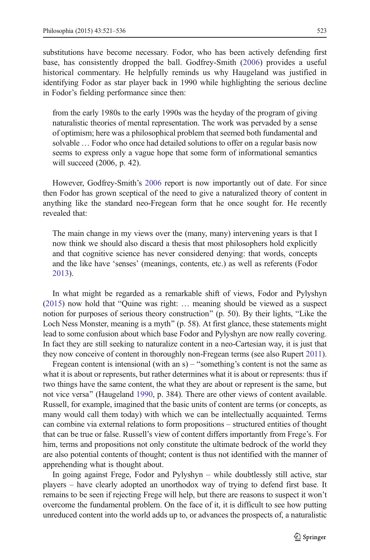substitutions have become necessary. Fodor, who has been actively defending first base, has consistently dropped the ball. Godfrey-Smith ([2006\)](#page-14-0) provides a useful historical commentary. He helpfully reminds us why Haugeland was justified in identifying Fodor as star player back in 1990 while highlighting the serious decline in Fodor's fielding performance since then:

from the early 1980s to the early 1990s was the heyday of the program of giving naturalistic theories of mental representation. The work was pervaded by a sense of optimism; here was a philosophical problem that seemed both fundamental and solvable … Fodor who once had detailed solutions to offer on a regular basis now seems to express only a vague hope that some form of informational semantics will succeed (2006, p. 42).

However, Godfrey-Smith's [2006](#page-14-0) report is now importantly out of date. For since then Fodor has grown sceptical of the need to give a naturalized theory of content in anything like the standard neo-Fregean form that he once sought for. He recently revealed that:

The main change in my views over the (many, many) intervening years is that I now think we should also discard a thesis that most philosophers hold explicitly and that cognitive science has never considered denying: that words, concepts and the like have 'senses' (meanings, contents, etc.) as well as referents (Fodor [2013\)](#page-14-0).

In what might be regarded as a remarkable shift of views, Fodor and Pylyshyn  $(2015)$  now hold that "Quine was right: ... meaning should be viewed as a suspect notion for purposes of serious theory construction" (p. 50). By their lights, "Like the Loch Ness Monster, meaning is a myth" (p. 58). At first glance, these statements might lead to some confusion about which base Fodor and Pylyshyn are now really covering. In fact they are still seeking to naturalize content in a neo-Cartesian way, it is just that they now conceive of content in thoroughly non-Fregean terms (see also Rupert [2011\)](#page-15-0).

Fregean content is intensional (with an  $s$ ) – "something's content is not the same as what it is about or represents, but rather determines what it is about or represents: thus if two things have the same content, the what they are about or represent is the same, but not vice versa" (Haugeland [1990](#page-14-0), p. 384). There are other views of content available. Russell, for example, imagined that the basic units of content are terms (or concepts, as many would call them today) with which we can be intellectually acquainted. Terms can combine via external relations to form propositions – structured entities of thought that can be true or false. Russell's view of content differs importantly from Frege's. For him, terms and propositions not only constitute the ultimate bedrock of the world they are also potential contents of thought; content is thus not identified with the manner of apprehending what is thought about.

In going against Frege, Fodor and Pylyshyn – while doubtlessly still active, star players – have clearly adopted an unorthodox way of trying to defend first base. It remains to be seen if rejecting Frege will help, but there are reasons to suspect it won't overcome the fundamental problem. On the face of it, it is difficult to see how putting unreduced content into the world adds up to, or advances the prospects of, a naturalistic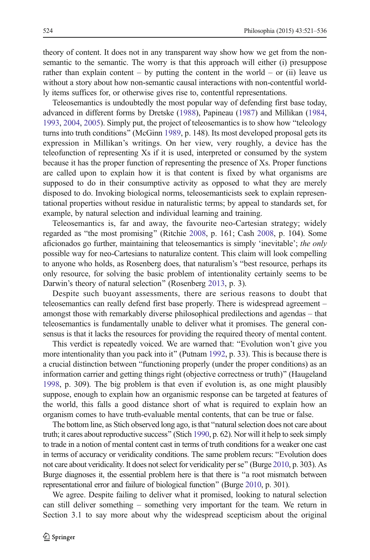theory of content. It does not in any transparent way show how we get from the nonsemantic to the semantic. The worry is that this approach will either (i) presuppose rather than explain content – by putting the content in the world – or (ii) leave us without a story about how non-semantic causal interactions with non-contentful worldly items suffices for, or otherwise gives rise to, contentful representations.

Teleosemantics is undoubtedly the most popular way of defending first base today, advanced in different forms by Dretske [\(1988\)](#page-14-0), Papineau [\(1987\)](#page-15-0) and Millikan [\(1984,](#page-14-0) [1993,](#page-14-0) [2004,](#page-15-0) [2005](#page-15-0)). Simply put, the project of teleosemantics is to show how "teleology turns into truth conditions" (McGinn [1989,](#page-14-0) p. 148). Its most developed proposal gets its expression in Millikan's writings. On her view, very roughly, a device has the teleofunction of representing Xs if it is used, interpreted or consumed by the system because it has the proper function of representing the presence of Xs. Proper functions are called upon to explain how it is that content is fixed by what organisms are supposed to do in their consumptive activity as opposed to what they are merely disposed to do. Invoking biological norms, teleosemanticists seek to explain representational properties without residue in naturalistic terms; by appeal to standards set, for example, by natural selection and individual learning and training.

Teleosemantics is, far and away, the favourite neo-Cartesian strategy; widely regarded as "the most promising" (Ritchie [2008,](#page-15-0) p. 161; Cash [2008](#page-14-0), p. 104). Some aficionados go further, maintaining that teleosemantics is simply 'inevitable'; the only possible way for neo-Cartesians to naturalize content. This claim will look compelling to anyone who holds, as Rosenberg does, that naturalism's "best resource, perhaps its only resource, for solving the basic problem of intentionality certainly seems to be Darwin's theory of natural selection" (Rosenberg [2013,](#page-15-0) p. 3).

Despite such buoyant assessments, there are serious reasons to doubt that teleosemantics can really defend first base properly. There is widespread agreement – amongst those with remarkably diverse philosophical predilections and agendas – that teleosemantics is fundamentally unable to deliver what it promises. The general consensus is that it lacks the resources for providing the required theory of mental content.

This verdict is repeatedly voiced. We are warned that: "Evolution won't give you more intentionality than you pack into it" (Putnam [1992,](#page-15-0) p. 33). This is because there is a crucial distinction between "functioning properly (under the proper conditions) as an information carrier and getting things right (objective correctness or truth)" (Haugeland [1998,](#page-14-0) p. 309). The big problem is that even if evolution is, as one might plausibly suppose, enough to explain how an organismic response can be targeted at features of the world, this falls a good distance short of what is required to explain how an organism comes to have truth-evaluable mental contents, that can be true or false.

The bottom line, as Stich observed long ago, is that "natural selection does not care about truth; it cares about reproductive success^ (Stich [1990](#page-15-0), p. 62). Nor will it help to seek simply to trade in a notion of mental content cast in terms of truth conditions for a weaker one cast in terms of accuracy or veridicality conditions. The same problem recurs: "Evolution does not care about veridicality. It does not select for veridicality per se" (Burge [2010](#page-14-0), p. 303). As Burge diagnoses it, the essential problem here is that there is "a root mismatch between representational error and failure of biological function^ (Burge [2010](#page-14-0), p. 301).

We agree. Despite failing to deliver what it promised, looking to natural selection can still deliver something – something very important for the team. We return in Section 3.1 to say more about why the widespread scepticism about the original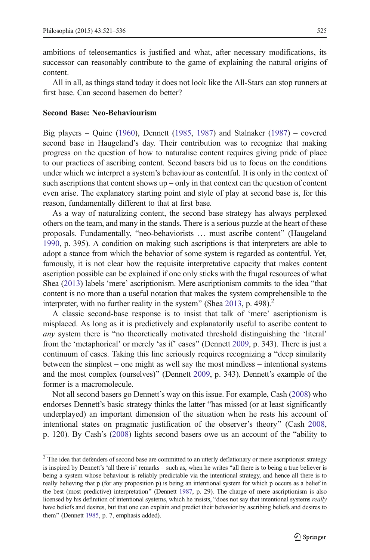ambitions of teleosemantics is justified and what, after necessary modifications, its successor can reasonably contribute to the game of explaining the natural origins of content.

All in all, as things stand today it does not look like the All-Stars can stop runners at first base. Can second basemen do better?

#### Second Base: Neo-Behaviourism

Big players – Quine ([1960](#page-15-0)), Dennett ([1985](#page-14-0), [1987](#page-14-0)) and Stalnaker [\(1987\)](#page-15-0) – covered second base in Haugeland's day. Their contribution was to recognize that making progress on the question of how to naturalise content requires giving pride of place to our practices of ascribing content. Second basers bid us to focus on the conditions under which we interpret a system's behaviour as contentful. It is only in the context of such ascriptions that content shows  $up$  – only in that context can the question of content even arise. The explanatory starting point and style of play at second base is, for this reason, fundamentally different to that at first base.

As a way of naturalizing content, the second base strategy has always perplexed others on the team, and many in the stands. There is a serious puzzle at the heart of these proposals. Fundamentally, "neo-behaviorists ... must ascribe content" (Haugeland [1990,](#page-14-0) p. 395). A condition on making such ascriptions is that interpreters are able to adopt a stance from which the behavior of some system is regarded as contentful. Yet, famously, it is not clear how the requisite interpretative capacity that makes content ascription possible can be explained if one only sticks with the frugal resources of what Shea ([2013](#page-15-0)) labels 'mere' ascriptionism. Mere ascriptionism commits to the idea "that content is no more than a useful notation that makes the system comprehensible to the interpreter, with no further reality in the system" (Shea [2013](#page-15-0), p. 498).<sup>2</sup>

A classic second-base response is to insist that talk of 'mere' ascriptionism is misplaced. As long as it is predictively and explanatorily useful to ascribe content to any system there is "no theoretically motivated threshold distinguishing the 'literal' from the 'metaphorical' or merely 'as if' cases^ (Dennett [2009,](#page-14-0) p. 343). There is just a continuum of cases. Taking this line seriously requires recognizing a "deep similarity" between the simplest – one might as well say the most mindless – intentional systems and the most complex (ourselves)" (Dennett [2009](#page-14-0), p. 343). Dennett's example of the former is a macromolecule.

Not all second basers go Dennett's way on this issue. For example, Cash [\(2008](#page-14-0)) who endorses Dennett's basic strategy thinks the latter "has missed (or at least significantly underplayed) an important dimension of the situation when he rests his account of intentional states on pragmatic justification of the observer's theory^ (Cash [2008,](#page-14-0) p. 120). By Cash's  $(2008)$  lights second basers owe us an account of the "ability to

 $2$  The idea that defenders of second base are committed to an utterly deflationary or mere ascriptionist strategy is inspired by Dennett's 'all there is' remarks – such as, when he writes "all there is to being a true believer is being a system whose behaviour is reliably predictable via the intentional strategy, and hence all there is to really believing that p (for any proposition p) is being an intentional system for which p occurs as a belief in the best (most predictive) interpretation" (Dennett [1987](#page-14-0), p. 29). The charge of mere ascriptionism is also licensed by his definition of intentional systems, which he insists, "does not say that intentional systems really have beliefs and desires, but that one can explain and predict their behavior by ascribing beliefs and desires to them" (Dennett [1985](#page-14-0), p. 7, emphasis added).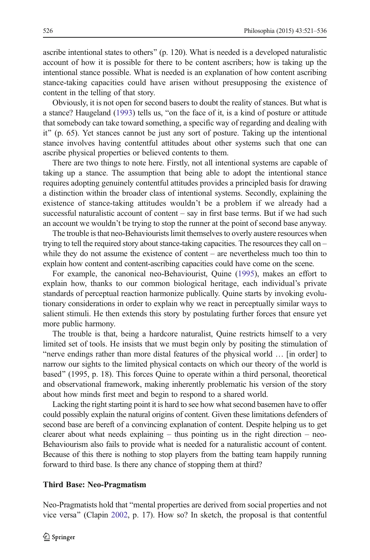ascribe intentional states to others"  $(p. 120)$ . What is needed is a developed naturalistic account of how it is possible for there to be content ascribers; how is taking up the intentional stance possible. What is needed is an explanation of how content ascribing stance-taking capacities could have arisen without presupposing the existence of content in the telling of that story.

Obviously, it is not open for second basers to doubt the reality of stances. But what is a stance? Haugeland ([1993](#page-14-0)) tells us, "on the face of it, is a kind of posture or attitude that somebody can take toward something, a specific way of regarding and dealing with it^ (p. 65). Yet stances cannot be just any sort of posture. Taking up the intentional stance involves having contentful attitudes about other systems such that one can ascribe physical properties or believed contents to them.

There are two things to note here. Firstly, not all intentional systems are capable of taking up a stance. The assumption that being able to adopt the intentional stance requires adopting genuinely contentful attitudes provides a principled basis for drawing a distinction within the broader class of intentional systems. Secondly, explaining the existence of stance-taking attitudes wouldn't be a problem if we already had a successful naturalistic account of content – say in first base terms. But if we had such an account we wouldn't be trying to stop the runner at the point of second base anyway.

The trouble is that neo-Behaviourists limit themselves to overly austere resources when trying to tell the required story about stance-taking capacities. The resources they call on – while they do not assume the existence of content – are nevertheless much too thin to explain how content and content-ascribing capacities could have come on the scene.

For example, the canonical neo-Behaviourist, Quine ([1995](#page-15-0)), makes an effort to explain how, thanks to our common biological heritage, each individual's private standards of perceptual reaction harmonize publically. Quine starts by invoking evolutionary considerations in order to explain why we react in perceptually similar ways to salient stimuli. He then extends this story by postulating further forces that ensure yet more public harmony.

The trouble is that, being a hardcore naturalist, Quine restricts himself to a very limited set of tools. He insists that we must begin only by positing the stimulation of "nerve endings rather than more distal features of the physical world ... [in order] to narrow our sights to the limited physical contacts on which our theory of the world is based" (1995, p. 18). This forces Quine to operate within a third personal, theoretical and observational framework, making inherently problematic his version of the story about how minds first meet and begin to respond to a shared world.

Lacking the right starting point it is hard to see how what second basemen have to offer could possibly explain the natural origins of content. Given these limitations defenders of second base are bereft of a convincing explanation of content. Despite helping us to get clearer about what needs explaining – thus pointing us in the right direction – neo-Behaviourism also fails to provide what is needed for a naturalistic account of content. Because of this there is nothing to stop players from the batting team happily running forward to third base. Is there any chance of stopping them at third?

#### Third Base: Neo-Pragmatism

Neo-Pragmatists hold that "mental properties are derived from social properties and not vice versa^ (Clapin [2002,](#page-14-0) p. 17). How so? In sketch, the proposal is that contentful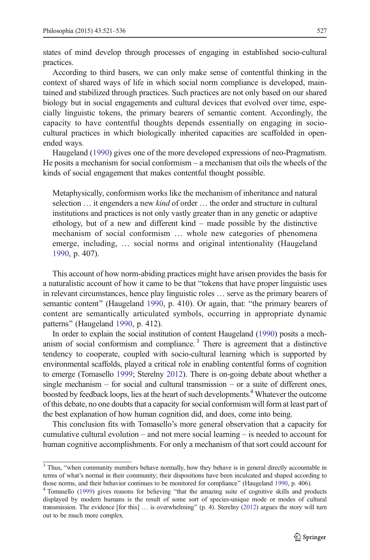states of mind develop through processes of engaging in established socio-cultural practices.

According to third basers, we can only make sense of contentful thinking in the context of shared ways of life in which social norm compliance is developed, maintained and stabilized through practices. Such practices are not only based on our shared biology but in social engagements and cultural devices that evolved over time, especially linguistic tokens, the primary bearers of semantic content. Accordingly, the capacity to have contentful thoughts depends essentially on engaging in sociocultural practices in which biologically inherited capacities are scaffolded in openended ways.

Haugeland [\(1990\)](#page-14-0) gives one of the more developed expressions of neo-Pragmatism. He posits a mechanism for social conformism – a mechanism that oils the wheels of the kinds of social engagement that makes contentful thought possible.

Metaphysically, conformism works like the mechanism of inheritance and natural selection ... it engenders a new *kind* of order ... the order and structure in cultural institutions and practices is not only vastly greater than in any genetic or adaptive ethology, but of a new and different kind – made possible by the distinctive mechanism of social conformism … whole new categories of phenomena emerge, including, … social norms and original intentionality (Haugeland [1990,](#page-14-0) p. 407).

This account of how norm-abiding practices might have arisen provides the basis for a naturalistic account of how it came to be that "tokens that have proper linguistic uses in relevant circumstances, hence play linguistic roles … serve as the primary bearers of semantic content" (Haugeland [1990,](#page-14-0) p. 410). Or again, that: "the primary bearers of content are semantically articulated symbols, occurring in appropriate dynamic patterns" (Haugeland [1990](#page-14-0), p. 412).

In order to explain the social institution of content Haugeland [\(1990](#page-14-0)) posits a mechanism of social conformism and compliance. <sup>3</sup> There is agreement that a distinctive tendency to cooperate, coupled with socio-cultural learning which is supported by environmental scaffolds, played a critical role in enabling contentful forms of cognition to emerge (Tomasello [1999;](#page-15-0) Sterelny [2012](#page-15-0)). There is on-going debate about whether a single mechanism  $-$  for social and cultural transmission  $-$  or a suite of different ones, boosted by feedback loops, lies at the heart of such developments.<sup>4</sup> Whatever the outcome of this debate, no one doubts that a capacity for social conformism will form at least part of the best explanation of how human cognition did, and does, come into being.

This conclusion fits with Tomasello's more general observation that a capacity for cumulative cultural evolution – and not mere social learning – is needed to account for human cognitive accomplishments. For only a mechanism of that sort could account for

 $3$  Thus, "when community members behave normally, how they behave is in general directly accountable in terms of what's normal in their community; their dispositions have been inculcated and shaped according to those norms, and their behavior continues to be monitored for compliance" (Haugeland [1990,](#page-14-0) p. 406). 4 Tomasello [\(1999\)](#page-15-0) gives reasons for believing "that the amazing suite of cognitive skills and products

displayed by modern humans is the result of some sort of species-unique mode or modes of cultural transmission. The evidence [for this] ... is overwhelming" (p. 4). Sterelny [\(2012](#page-15-0)) argues the story will turn out to be much more complex.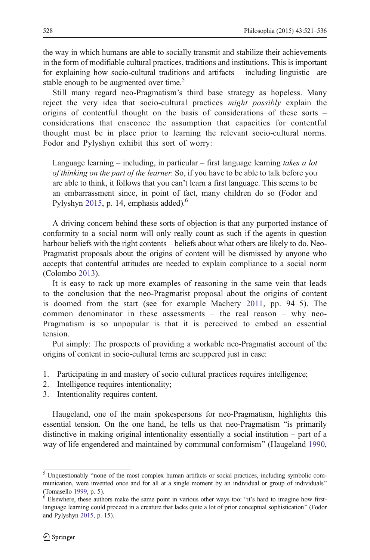the way in which humans are able to socially transmit and stabilize their achievements in the form of modifiable cultural practices, traditions and institutions. This is important for explaining how socio-cultural traditions and artifacts – including linguistic –are stable enough to be augmented over time.<sup>5</sup>

Still many regard neo-Pragmatism's third base strategy as hopeless. Many reject the very idea that socio-cultural practices *might possibly* explain the origins of contentful thought on the basis of considerations of these sorts – considerations that ensconce the assumption that capacities for contentful thought must be in place prior to learning the relevant socio-cultural norms. Fodor and Pylyshyn exhibit this sort of worry:

Language learning – including, in particular – first language learning takes a lot of thinking on the part of the learner. So, if you have to be able to talk before you are able to think, it follows that you can't learn a first language. This seems to be an embarrassment since, in point of fact, many children do so (Fodor and Pylyshyn [2015](#page-14-0), p. 14, emphasis added).<sup>6</sup>

A driving concern behind these sorts of objection is that any purported instance of conformity to a social norm will only really count as such if the agents in question harbour beliefs with the right contents – beliefs about what others are likely to do. Neo-Pragmatist proposals about the origins of content will be dismissed by anyone who accepts that contentful attitudes are needed to explain compliance to a social norm (Colombo [2013](#page-14-0)).

It is easy to rack up more examples of reasoning in the same vein that leads to the conclusion that the neo-Pragmatist proposal about the origins of content is doomed from the start (see for example Machery [2011,](#page-14-0) pp. 94–5). The common denominator in these assessments – the real reason – why neo-Pragmatism is so unpopular is that it is perceived to embed an essential tension.

Put simply: The prospects of providing a workable neo-Pragmatist account of the origins of content in socio-cultural terms are scuppered just in case:

- 1. Participating in and mastery of socio cultural practices requires intelligence;
- 2. Intelligence requires intentionality;
- 3. Intentionality requires content.

Haugeland, one of the main spokespersons for neo-Pragmatism, highlights this essential tension. On the one hand, he tells us that neo-Pragmatism "is primarily distinctive in making original intentionality essentially a social institution – part of a way of life engendered and maintained by communal conformism" (Haugeland [1990,](#page-14-0)

<sup>&</sup>lt;sup>5</sup> Unquestionably "none of the most complex human artifacts or social practices, including symbolic communication, were invented once and for all at a single moment by an individual or group of individuals^ (Tomasello [1999](#page-15-0), p. 5).<br> $\text{6}$  Elsewhere, these authors make the same point in various other ways too: "it's hard to imagine how first-

language learning could proceed in a creature that lacks quite a lot of prior conceptual sophistication" (Fodor and Pylyshyn [2015](#page-14-0), p. 15).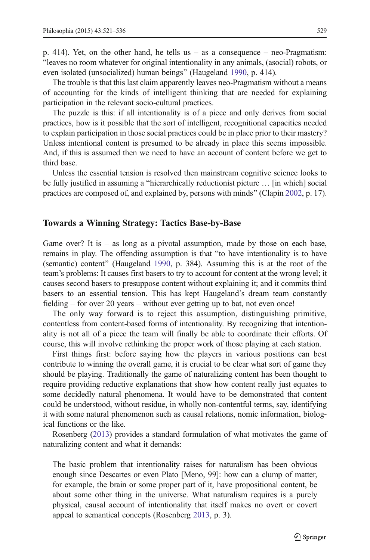p. 414). Yet, on the other hand, he tells us – as a consequence – neo-Pragmatism: Bleaves no room whatever for original intentionality in any animals, (asocial) robots, or even isolated (unsocialized) human beings^ (Haugeland [1990](#page-14-0), p. 414).

The trouble is that this last claim apparently leaves neo-Pragmatism without a means of accounting for the kinds of intelligent thinking that are needed for explaining participation in the relevant socio-cultural practices.

The puzzle is this: if all intentionality is of a piece and only derives from social practices, how is it possible that the sort of intelligent, recognitional capacities needed to explain participation in those social practices could be in place prior to their mastery? Unless intentional content is presumed to be already in place this seems impossible. And, if this is assumed then we need to have an account of content before we get to third base.

Unless the essential tension is resolved then mainstream cognitive science looks to be fully justified in assuming a "hierarchically reductionist picture ... [in which] social practices are composed of, and explained by, persons with minds^ (Clapin [2002,](#page-14-0) p. 17).

# Towards a Winning Strategy: Tactics Base-by-Base

Game over? It is  $-$  as long as a pivotal assumption, made by those on each base, remains in play. The offending assumption is that "to have intentionality is to have (semantic) content^ (Haugeland [1990](#page-14-0), p. 384). Assuming this is at the root of the team's problems: It causes first basers to try to account for content at the wrong level; it causes second basers to presuppose content without explaining it; and it commits third basers to an essential tension. This has kept Haugeland's dream team constantly fielding – for over 20 years – without ever getting up to bat, not even once!

The only way forward is to reject this assumption, distinguishing primitive, contentless from content-based forms of intentionality. By recognizing that intentionality is not all of a piece the team will finally be able to coordinate their efforts. Of course, this will involve rethinking the proper work of those playing at each station.

First things first: before saying how the players in various positions can best contribute to winning the overall game, it is crucial to be clear what sort of game they should be playing. Traditionally the game of naturalizing content has been thought to require providing reductive explanations that show how content really just equates to some decidedly natural phenomena. It would have to be demonstrated that content could be understood, without residue, in wholly non-contentful terms, say, identifying it with some natural phenomenon such as causal relations, nomic information, biological functions or the like.

Rosenberg [\(2013\)](#page-15-0) provides a standard formulation of what motivates the game of naturalizing content and what it demands:

The basic problem that intentionality raises for naturalism has been obvious enough since Descartes or even Plato [Meno, 99]: how can a clump of matter, for example, the brain or some proper part of it, have propositional content, be about some other thing in the universe. What naturalism requires is a purely physical, causal account of intentionality that itself makes no overt or covert appeal to semantical concepts (Rosenberg [2013](#page-15-0), p. 3).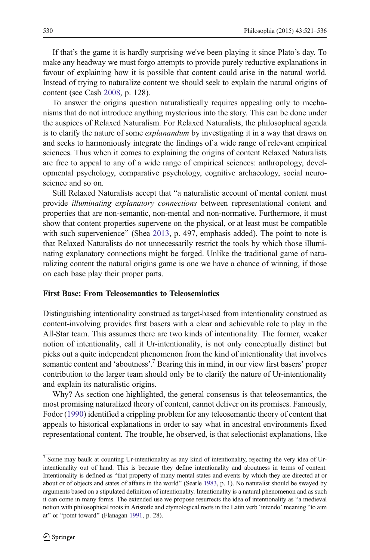If that's the game it is hardly surprising we've been playing it since Plato's day. To make any headway we must forgo attempts to provide purely reductive explanations in favour of explaining how it is possible that content could arise in the natural world. Instead of trying to naturalize content we should seek to explain the natural origins of content (see Cash [2008,](#page-14-0) p. 128).

To answer the origins question naturalistically requires appealing only to mechanisms that do not introduce anything mysterious into the story. This can be done under the auspices of Relaxed Naturalism. For Relaxed Naturalists, the philosophical agenda is to clarify the nature of some *explanandum* by investigating it in a way that draws on and seeks to harmoniously integrate the findings of a wide range of relevant empirical sciences. Thus when it comes to explaining the origins of content Relaxed Naturalists are free to appeal to any of a wide range of empirical sciences: anthropology, developmental psychology, comparative psychology, cognitive archaeology, social neuroscience and so on.

Still Relaxed Naturalists accept that "a naturalistic account of mental content must provide illuminating explanatory connections between representational content and properties that are non-semantic, non-mental and non-normative. Furthermore, it must show that content properties supervene on the physical, or at least must be compatible with such supervenience" (Shea [2013](#page-15-0), p. 497, emphasis added). The point to note is that Relaxed Naturalists do not unnecessarily restrict the tools by which those illuminating explanatory connections might be forged. Unlike the traditional game of naturalizing content the natural origins game is one we have a chance of winning, if those on each base play their proper parts.

#### First Base: From Teleosemantics to Teleosemiotics

Distinguishing intentionality construed as target-based from intentionality construed as content-involving provides first basers with a clear and achievable role to play in the All-Star team. This assumes there are two kinds of intentionality. The former, weaker notion of intentionality, call it Ur-intentionality, is not only conceptually distinct but picks out a quite independent phenomenon from the kind of intentionality that involves semantic content and 'aboutness'.<sup>7</sup> Bearing this in mind, in our view first basers' proper contribution to the larger team should only be to clarify the nature of Ur-intentionality and explain its naturalistic origins.

Why? As section one highlighted, the general consensus is that teleosemantics, the most promising naturalized theory of content, cannot deliver on its promises. Famously, Fodor ([1990](#page-14-0)) identified a crippling problem for any teleosemantic theory of content that appeals to historical explanations in order to say what in ancestral environments fixed representational content. The trouble, he observed, is that selectionist explanations, like

 $\frac{7}{7}$  Some may baulk at counting Ur-intentionality as any kind of intentionality, rejecting the very idea of Urintentionality out of hand. This is because they define intentionality and aboutness in terms of content. Intentionality is defined as "that property of many mental states and events by which they are directed at or about or of objects and states of affairs in the world" (Searle [1983,](#page-15-0) p. 1). No naturalist should be swayed by arguments based on a stipulated definition of intentionality. Intentionality is a natural phenomenon and as such it can come in many forms. The extended use we propose resurrects the idea of intentionality as "a medieval notion with philosophical roots in Aristotle and etymological roots in the Latin verb 'intendo' meaning "to aim at" or "point toward" (Flanagan [1991](#page-14-0), p. 28).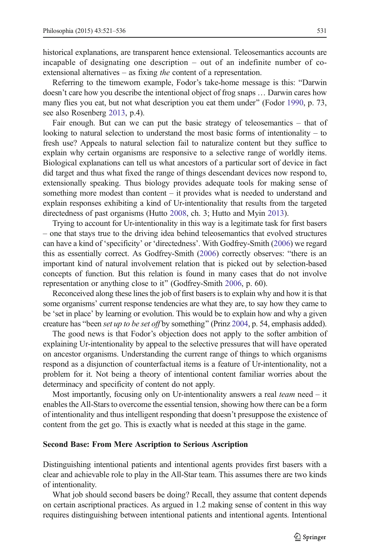historical explanations, are transparent hence extensional. Teleosemantics accounts are incapable of designating one description – out of an indefinite number of coextensional alternatives – as fixing the content of a representation.

Referring to the timeworn example, Fodor's take-home message is this: "Darwin" doesn't care how you describe the intentional object of frog snaps … Darwin cares how many flies you eat, but not what description you eat them under" (Fodor [1990](#page-14-0), p. 73, see also Rosenberg [2013,](#page-15-0) p.4).

Fair enough. But can we can put the basic strategy of teleosemantics – that of looking to natural selection to understand the most basic forms of intentionality – to fresh use? Appeals to natural selection fail to naturalize content but they suffice to explain why certain organisms are responsive to a selective range of worldly items. Biological explanations can tell us what ancestors of a particular sort of device in fact did target and thus what fixed the range of things descendant devices now respond to, extensionally speaking. Thus biology provides adequate tools for making sense of something more modest than content – it provides what is needed to understand and explain responses exhibiting a kind of Ur-intentionality that results from the targeted directedness of past organisms (Hutto [2008](#page-14-0), ch. 3; Hutto and Myin [2013\)](#page-14-0).

Trying to account for Ur-intentionality in this way is a legitimate task for first basers – one that stays true to the driving idea behind teleosemantics that evolved structures can have a kind of 'specificity' or 'directedness'. With Godfrey-Smith [\(2006\)](#page-14-0) we regard this as essentially correct. As Godfrey-Smith [\(2006\)](#page-14-0) correctly observes: "there is an important kind of natural involvement relation that is picked out by selection-based concepts of function. But this relation is found in many cases that do not involve representation or anything close to it" (Godfrey-Smith [2006,](#page-14-0) p. 60).

Reconceived along these lines the job of first basers is to explain why and how it is that some organisms' current response tendencies are what they are, to say how they came to be 'set in place' by learning or evolution. This would be to explain how and why a given creature has "been set up to be set off by something" (Prinz [2004,](#page-15-0) p. 54, emphasis added).

The good news is that Fodor's objection does not apply to the softer ambition of explaining Ur-intentionality by appeal to the selective pressures that will have operated on ancestor organisms. Understanding the current range of things to which organisms respond as a disjunction of counterfactual items is a feature of Ur-intentionality, not a problem for it. Not being a theory of intentional content familiar worries about the determinacy and specificity of content do not apply.

Most importantly, focusing only on Ur-intentionality answers a real *team* need – it enables the All-Stars to overcome the essential tension, showing how there can be a form of intentionality and thus intelligent responding that doesn't presuppose the existence of content from the get go. This is exactly what is needed at this stage in the game.

# Second Base: From Mere Ascription to Serious Ascription

Distinguishing intentional patients and intentional agents provides first basers with a clear and achievable role to play in the All-Star team. This assumes there are two kinds of intentionality.

What job should second basers be doing? Recall, they assume that content depends on certain ascriptional practices. As argued in 1.2 making sense of content in this way requires distinguishing between intentional patients and intentional agents. Intentional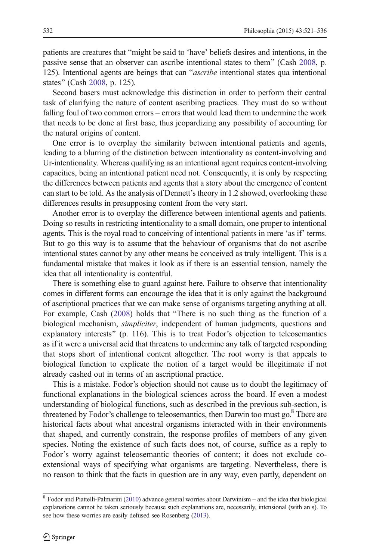patients are creatures that "might be said to 'have' beliefs desires and intentions, in the passive sense that an observer can ascribe intentional states to them^ (Cash [2008](#page-14-0), p. 125). Intentional agents are beings that can "ascribe intentional states qua intentional states" (Cash [2008](#page-14-0), p. 125).

Second basers must acknowledge this distinction in order to perform their central task of clarifying the nature of content ascribing practices. They must do so without falling foul of two common errors – errors that would lead them to undermine the work that needs to be done at first base, thus jeopardizing any possibility of accounting for the natural origins of content.

One error is to overplay the similarity between intentional patients and agents, leading to a blurring of the distinction between intentionality as content-involving and Ur-intentionality. Whereas qualifying as an intentional agent requires content-involving capacities, being an intentional patient need not. Consequently, it is only by respecting the differences between patients and agents that a story about the emergence of content can start to be told. As the analysis of Dennett's theory in 1.2 showed, overlooking these differences results in presupposing content from the very start.

Another error is to overplay the difference between intentional agents and patients. Doing so results in restricting intentionality to a small domain, one proper to intentional agents. This is the royal road to conceiving of intentional patients in mere 'as if' terms. But to go this way is to assume that the behaviour of organisms that do not ascribe intentional states cannot by any other means be conceived as truly intelligent. This is a fundamental mistake that makes it look as if there is an essential tension, namely the idea that all intentionality is contentful.

There is something else to guard against here. Failure to observe that intentionality comes in different forms can encourage the idea that it is only against the background of ascriptional practices that we can make sense of organisms targeting anything at all. For example, Cash ([2008](#page-14-0)) holds that "There is no such thing as the function of a biological mechanism, *simpliciter*, independent of human judgments, questions and explanatory interests" (p. 116). This is to treat Fodor's objection to teleosemantics as if it were a universal acid that threatens to undermine any talk of targeted responding that stops short of intentional content altogether. The root worry is that appeals to biological function to explicate the notion of a target would be illegitimate if not already cashed out in terms of an ascriptional practice.

This is a mistake. Fodor's objection should not cause us to doubt the legitimacy of functional explanations in the biological sciences across the board. If even a modest understanding of biological functions, such as described in the previous sub-section, is threatened by Fodor's challenge to teleosemantics, then Darwin too must go.<sup>8</sup> There are historical facts about what ancestral organisms interacted with in their environments that shaped, and currently constrain, the response profiles of members of any given species. Noting the existence of such facts does not, of course, suffice as a reply to Fodor's worry against teleosemantic theories of content; it does not exclude coextensional ways of specifying what organisms are targeting. Nevertheless, there is no reason to think that the facts in question are in any way, even partly, dependent on

 $8$  Fodor and Piattelli-Palmarini [\(2010\)](#page-14-0) advance general worries about Darwinism – and the idea that biological explanations cannot be taken seriously because such explanations are, necessarily, intensional (with an s). To see how these worries are easily defused see Rosenberg ([2013](#page-15-0)).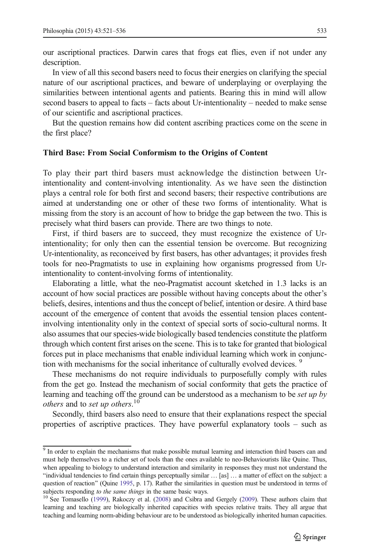our ascriptional practices. Darwin cares that frogs eat flies, even if not under any description.

In view of all this second basers need to focus their energies on clarifying the special nature of our ascriptional practices, and beware of underplaying or overplaying the similarities between intentional agents and patients. Bearing this in mind will allow second basers to appeal to facts  $-$  facts about Ur-intentionality  $-$  needed to make sense of our scientific and ascriptional practices.

But the question remains how did content ascribing practices come on the scene in the first place?

#### Third Base: From Social Conformism to the Origins of Content

To play their part third basers must acknowledge the distinction between Urintentionality and content-involving intentionality. As we have seen the distinction plays a central role for both first and second basers; their respective contributions are aimed at understanding one or other of these two forms of intentionality. What is missing from the story is an account of how to bridge the gap between the two. This is precisely what third basers can provide. There are two things to note.

First, if third basers are to succeed, they must recognize the existence of Urintentionality; for only then can the essential tension be overcome. But recognizing Ur-intentionality, as reconceived by first basers, has other advantages; it provides fresh tools for neo-Pragmatists to use in explaining how organisms progressed from Urintentionality to content-involving forms of intentionality.

Elaborating a little, what the neo-Pragmatist account sketched in 1.3 lacks is an account of how social practices are possible without having concepts about the other's beliefs, desires, intentions and thus the concept of belief, intention or desire. A third base account of the emergence of content that avoids the essential tension places contentinvolving intentionality only in the context of special sorts of socio-cultural norms. It also assumes that our species-wide biologically based tendencies constitute the platform through which content first arises on the scene. This is to take for granted that biological forces put in place mechanisms that enable individual learning which work in conjunction with mechanisms for the social inheritance of culturally evolved devices.<sup>9</sup>

These mechanisms do not require individuals to purposefully comply with rules from the get go. Instead the mechanism of social conformity that gets the practice of learning and teaching off the ground can be understood as a mechanism to be *set up by* others and to set up others.<sup>10</sup>

Secondly, third basers also need to ensure that their explanations respect the special properties of ascriptive practices. They have powerful explanatory tools – such as

<sup>&</sup>lt;sup>9</sup> In order to explain the mechanisms that make possible mutual learning and interaction third basers can and must help themselves to a richer set of tools than the ones available to neo-Behaviourists like Quine. Thus, when appealing to biology to understand interaction and similarity in responses they must not understand the Bindividual tendencies to find certain things perceptually similar … [as] … a matter of effect on the subject: a question of reaction" (Quine [1995,](#page-15-0) p. 17). Rather the similarities in question must be understood in terms of

subjects responding to the same things in the same basic ways.<br><sup>10</sup> See Tomasello ([1999](#page-15-0)), Rakoczy et al. ([2008](#page-15-0)) and Csibra and Gergely [\(2009\)](#page-14-0). These authors claim that learning and teaching are biologically inherited capacities with species relative traits. They all argue that teaching and learning norm-abiding behaviour are to be understood as biologically inherited human capacities.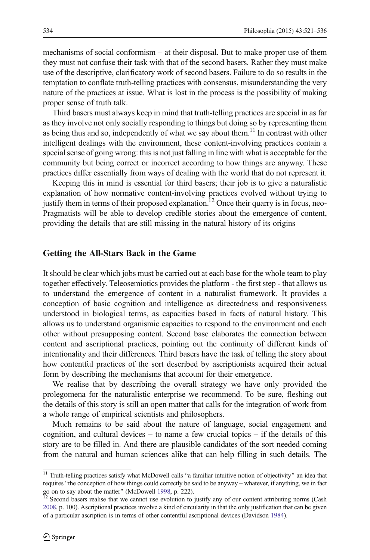mechanisms of social conformism – at their disposal. But to make proper use of them they must not confuse their task with that of the second basers. Rather they must make use of the descriptive, clarificatory work of second basers. Failure to do so results in the temptation to conflate truth-telling practices with consensus, misunderstanding the very nature of the practices at issue. What is lost in the process is the possibility of making proper sense of truth talk.

Third basers must always keep in mind that truth-telling practices are special in as far as they involve not only socially responding to things but doing so by representing them as being thus and so, independently of what we say about them.<sup>11</sup> In contrast with other intelligent dealings with the environment, these content-involving practices contain a special sense of going wrong: this is not just falling in line with what is acceptable for the community but being correct or incorrect according to how things are anyway. These practices differ essentially from ways of dealing with the world that do not represent it.

Keeping this in mind is essential for third basers; their job is to give a naturalistic explanation of how normative content-involving practices evolved without trying to justify them in terms of their proposed explanation.<sup>12</sup> Once their quarry is in focus, neo-Pragmatists will be able to develop credible stories about the emergence of content, providing the details that are still missing in the natural history of its origins

#### Getting the All-Stars Back in the Game

It should be clear which jobs must be carried out at each base for the whole team to play together effectively. Teleosemiotics provides the platform - the first step - that allows us to understand the emergence of content in a naturalist framework. It provides a conception of basic cognition and intelligence as directedness and responsiveness understood in biological terms, as capacities based in facts of natural history. This allows us to understand organismic capacities to respond to the environment and each other without presupposing content. Second base elaborates the connection between content and ascriptional practices, pointing out the continuity of different kinds of intentionality and their differences. Third basers have the task of telling the story about how contentful practices of the sort described by ascriptionists acquired their actual form by describing the mechanisms that account for their emergence.

We realise that by describing the overall strategy we have only provided the prolegomena for the naturalistic enterprise we recommend. To be sure, fleshing out the details of this story is still an open matter that calls for the integration of work from a whole range of empirical scientists and philosophers.

Much remains to be said about the nature of language, social engagement and cognition, and cultural devices  $-$  to name a few crucial topics  $-$  if the details of this story are to be filled in. And there are plausible candidates of the sort needed coming from the natural and human sciences alike that can help filling in such details. The

 $11$  Truth-telling practices satisfy what McDowell calls "a familiar intuitive notion of objectivity" an idea that requires "the conception of how things could correctly be said to be anyway – whatever, if anything, we in fact go on to say about the matter" (McDowell [1998](#page-14-0), p. 222).  $\frac{12}{12}$  Second basers realise that we cannot use evolution to justify any of our content attributing norms (Cash

[<sup>2008,</sup>](#page-14-0) p. 100). Ascriptional practices involve a kind of circularity in that the only justification that can be given of a particular ascription is in terms of other contentful ascriptional devices (Davidson [1984](#page-14-0)).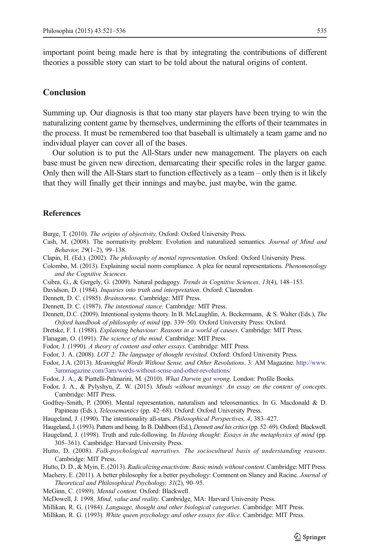<span id="page-14-0"></span>important point being made here is that by integrating the contributions of different theories a possible story can start to be told about the natural origins of content.

# Conclusion

Summing up. Our diagnosis is that too many star players have been trying to win the naturalizing content game by themselves, undermining the efforts of their teammates in the process. It must be remembered too that baseball is ultimately a team game and no individual player can cover all of the bases.

Our solution is to put the All-Stars under new management. The players on each base must be given new direction, demarcating their specific roles in the larger game. Only then will the All-Stars start to function effectively as a team – only then is it likely that they will finally get their innings and maybe, just maybe, win the game.

#### References

Burge, T. (2010). The origins of objectivity. Oxford: Oxford University Press.

- Cash, M. (2008). The normativity problem: Evolution and naturalized semantics. Journal of Mind and Behavior, 29(1–2), 99–138.
- Clapin, H. (Ed.). (2002). The philosophy of mental representation. Oxford: Oxford University Press.
- Colombo, M. (2013). Explaining social norm compliance. A plea for neural representations. Phenomenology and the Cognitive Sciences.
- Csibra, G., & Gergely, G. (2009). Natural pedagogy. Trends in Cognitive Sciences, 13(4), 148–153.
- Davidson, D. (1984). Inquiries into truth and interpretation. Oxford: Clarendon.
- Dennett, D. C. (1985). Brainstorms. Cambridge: MIT Press.
- Dennett, D. C. (1987). The intentional stance. Cambridge: MIT Press.
- Dennett, D.C. (2009). Intentional systems theory. In B. McLaughlin, A. Beckermann, & S. Walter (Eds.), The Oxford handbook of philosophy of mind (pp. 339–50). Oxford University Press: Oxford.
- Dretske, F. I. (1988). Explaining behaviour: Reasons in a world of causes. Cambridge: MIT Press.
- Flanagan, O. (1991). The science of the mind. Cambridge: MIT Press.
- Fodor, J. (1990). A theory of content and other essays. Cambridge: MIT Press.
- Fodor, J. A. (2008). LOT 2: The language of thought revisited. Oxford: Oxford University Press.
- Fodor, J.A. (2013). Meaningful Words Without Sense, and Other Revolutions. 3: AM Magazine. [http://www.](http://www.3ammagazine.com/3am/words-without-sense-and-other-revolutions/) [3ammagazine.com/3am/words-without-sense-and-other-revolutions/](http://www.3ammagazine.com/3am/words-without-sense-and-other-revolutions/)
- Fodor, J. A., & Piattelli-Palmarini, M. (2010). What Darwin got wrong. London: Profile Books.
- Fodor, J. A., & Pylyshyn, Z. W. (2015). Minds without meanings: An essay on the content of concepts. Cambridge: MIT Press.
- Godfrey-Smith, P. (2006). Mental representation, naturalism and teleosemantics. In G. Macdonald & D. Papineau (Eds.), Teleosemantics (pp. 42–68). Oxford: Oxford University Press.
- Haugeland, J. (1990). The intentionality all-stars. Philosophical Perspectives, 4, 383–427.

Haugeland, J. (1993). Pattern and being. In B. Dahlbom (Ed.), *Dennett and his critics* (pp. 52–69). Oxford: Blackwell.

- Haugeland, J. (1998). Truth and rule-following. In Having thought: Essays in the metaphysics of mind (pp. 305–361). Cambridge: Harvard University Press.
- Hutto, D. (2008). Folk-psychological narratives. The sociocultural basis of understanding reasons. Cambridge: MIT Press.
- Hutto, D. D., & Myin, E. (2013). Radicalizing enactivism: Basic minds without content. Cambridge: MIT Press.

Machery, E. (2011). A better philosophy for a better psychology: Comment on Slaney and Racine. Journal of Theoretical and Philosophical Psychology, 31(2), 90–95.

- McGinn, C. (1989). Mental content. Oxford: Blackwell.
- McDowell, J. 1998. Mind, value and reality. Cambridge, MA: Harvard University Press.
- Millikan, R. G. (1984). Language, thought and other biological categories. Cambridge: MIT Press.
- Millikan, R. G. (1993). White queen psychology and other essays for Alice. Cambridge: MIT Press.